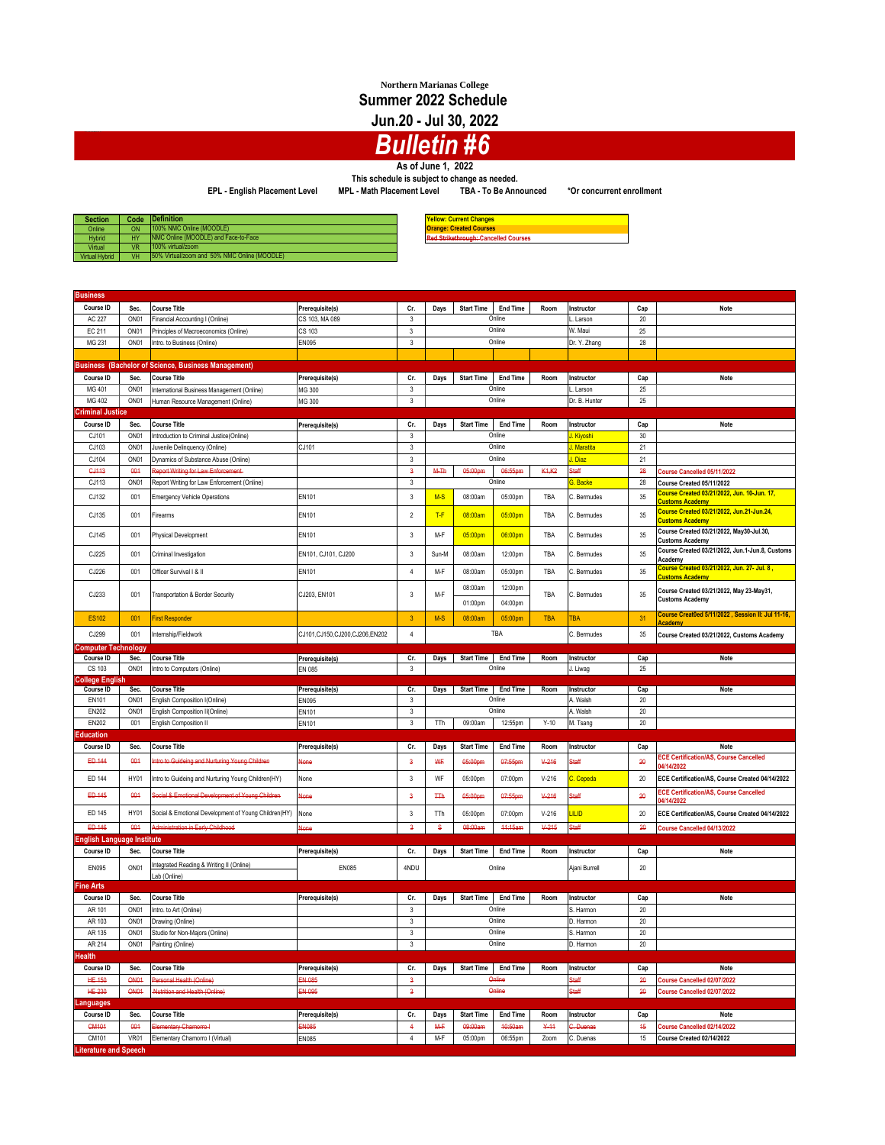## **Northern Marianas College Summer 2022 Schedule**

**Jun.20 - Jul 30, 2022**

## *Bulletin #6*

**As of June 1, 2022**

**This schedule is subject to change as needed.**

**EPL - English Placement Level MPL - Math Placement Level TBA - To Be Announced \*Or concurrent enrollment**

| <b>Section</b>        | Code | Definition                                    | <b>Yellow: Current Changes</b>              |
|-----------------------|------|-----------------------------------------------|---------------------------------------------|
| Online                | ON   | 100% NMC Online (MOODLE)                      | <b>Orange: Created Courses</b>              |
| <b>Hybrid</b>         | HY   | INMC Online (MOODLE) and Face-to-Face         | <b>Red Strikethrough: Cancelled Courses</b> |
| Virtual               | VR   | 100% virtual/zoom                             |                                             |
| <b>Virtual Hybrid</b> | VH   | 150% Virtual/zoom and 50% NMC Online (MOODLE) |                                             |

| <b>Business</b>                                                                                      |                  |                                                                 |                               |                         |             |                    |                     |                                 |                        |          |                                                                        |
|------------------------------------------------------------------------------------------------------|------------------|-----------------------------------------------------------------|-------------------------------|-------------------------|-------------|--------------------|---------------------|---------------------------------|------------------------|----------|------------------------------------------------------------------------|
| Course ID                                                                                            | Sec.             | <b>Course Title</b>                                             | Prerequisite(s)               | Cr.                     | Days        | <b>Start Time</b>  | <b>End Time</b>     | Room                            | Instructor             | Cap      | Note                                                                   |
| AC 227                                                                                               | ON <sub>01</sub> | Financial Accounting I (Online)                                 | CS 103, MA 089                | $\overline{\mathbf{3}}$ |             |                    | Online              |                                 | Larson                 | 20       |                                                                        |
| EC 211<br>ON01                                                                                       |                  | Principles of Macroeconomics (Online)                           | CS 103                        | $\mathsf 3$             |             | Online             |                     |                                 | W. Maui                | 25       |                                                                        |
| MG 231<br>ON <sub>01</sub>                                                                           |                  | Intro. to Business (Online)                                     | EN095                         | $\mathbf{3}$            |             | Online             |                     |                                 | Dr. Y. Zhang           | 28       |                                                                        |
|                                                                                                      |                  |                                                                 |                               |                         |             |                    |                     |                                 |                        |          |                                                                        |
| <b>Business (Bachelor of Science, Business Management)</b>                                           |                  |                                                                 |                               |                         |             |                    |                     |                                 |                        |          |                                                                        |
|                                                                                                      |                  |                                                                 |                               |                         |             |                    |                     |                                 |                        |          |                                                                        |
| Course ID                                                                                            | Sec.             | <b>Course Title</b>                                             | Prerequisite(s)               | Cr.                     | Days        | <b>Start Time</b>  | <b>End Time</b>     | Room                            | Instructor             | Cap      | Note                                                                   |
| MG 401                                                                                               | ON <sub>01</sub> | International Business Management (Online)                      | MG 300                        | 3                       |             |                    | Online              |                                 | Larson                 | 25       |                                                                        |
| MG 402                                                                                               | ON <sub>01</sub> | Human Resource Management (Online)                              | MG 300                        | $_{3}$                  |             |                    | Online              |                                 | Dr. B. Hunter          | 25       |                                                                        |
| <b>Criminal Justice</b>                                                                              |                  |                                                                 |                               |                         |             |                    |                     |                                 |                        |          |                                                                        |
| Course ID                                                                                            | Sec.             | <b>Course Title</b>                                             | Prerequisite(s)               | Cr.                     | Days        | <b>Start Time</b>  | <b>End Time</b>     | Room                            | Instructor             | Cap      | <b>Note</b>                                                            |
| CJ101                                                                                                | ON <sub>01</sub> | Introduction to Criminal Justice(Online)                        |                               | $\mathbf{3}$            |             |                    | Online              |                                 | J. Kiyoshi             | 30       |                                                                        |
| CJ103                                                                                                | ON <sub>01</sub> | Juvenile Delinquency (Online)                                   | CJ101                         | 3                       |             |                    | Online              |                                 | J. Maratita            | 21       |                                                                        |
| CJ104                                                                                                | ON <sub>01</sub> | Dynamics of Substance Abuse (Online)                            |                               | 3                       |             |                    | Online              |                                 | J. Diaz                | 21       |                                                                        |
| <b>GJ113</b>                                                                                         | 001              | <b>Report Writing for Law Enforcement</b>                       |                               | $\mathbf{3}$            | M-Th        | 05:00pm            | 06:55pm             | K <sub>1</sub> , K <sub>2</sub> | Staff                  | 28       | Course Cancelled 05/11/2022                                            |
| CJ113                                                                                                | ON <sub>01</sub> | Report Writing for Law Enforcement (Online)                     |                               | $\mathbf 3$             |             |                    | Online              |                                 | G. Backe               | 28       | Course Created 05/11/2022                                              |
|                                                                                                      |                  |                                                                 |                               |                         |             |                    |                     |                                 |                        |          | Course Created 03/21/2022, Jun. 10-Jun. 17,                            |
| CJ132                                                                                                | 001              | <b>Emergency Vehicle Operations</b>                             | EN101                         | $\sqrt{3}$              | $M-S$       | 08:00am            | 05:00pm             | TBA                             | C. Bermudes            | 35       | <b>Customs Academy</b>                                                 |
| CJ135                                                                                                | 001              | Firearms                                                        | EN101                         | $\overline{2}$          | $T-F$       | 08:00am            | 05:00pm             | TBA                             | C. Bermudes            | 35       | <b>Customs Academy</b>                                                 |
| CJ145                                                                                                | 001              | Physical Development                                            | EN101                         | 3                       | M-F         | 05:00pm            | 06:00pm             | TBA                             | C. Bermudes            | 35       | Course Created 03/21/2022, May30-Jul.30,<br><b>Customs Academy</b>     |
| CJ225                                                                                                | 001              | Criminal Investigation                                          | EN101, CJ101, CJ200           | 3                       | Sun-M       | 08:00am            | 12:00pm             | TBA                             | C. Bermudes            | 35       | Course Created 03/21/2022, Jun.1-Jun.8, Customs<br>Academy             |
| CJ226                                                                                                | 001              | Officer Survival I & II                                         | EN101                         | $\overline{4}$          | M-F         | 08:00am            | 05:00pm             | TBA                             | C. Bermudes            | 35       | , Course Created 03/21/2022, Jun. 27- Jul. 8<br><b>Customs Academy</b> |
|                                                                                                      |                  |                                                                 |                               |                         |             | 08:00am            | 12:00pm             |                                 |                        |          | Course Created 03/21/2022, May 23-May31,                               |
| CJ233                                                                                                | 001              | Transportation & Border Security                                | CJ203, EN101                  | 3                       | M-F         | 01:00pm            | 04:00pm             | TBA                             | C. Bermudes            | 35       | <b>Customs Academy</b>                                                 |
| <b>ES102</b>                                                                                         | 001              | <b>First Responder</b>                                          |                               | $\mathbf 3$             | $M-S$       | 08:00am            | 05:00pm             | <b>TBA</b>                      | <b>TBA</b>             | 31       | Course Creat0ed 5/11/2022, Session II: Jul 11-16,<br>Academy           |
| CJ299<br>001                                                                                         |                  | Internship/Fieldwork                                            | CJ101,CJ150,CJ200,CJ206,EN202 | $\overline{4}$          |             |                    | TBA                 |                                 | C. Bermudes            | 35       | Course Created 03/21/2022, Customs Academy                             |
| Computer Technology                                                                                  | Sec.             | <b>Course Title</b>                                             |                               | Cr.                     |             |                    | Start Time End Time | Room                            | Instructor             |          | Note                                                                   |
| Course ID                                                                                            |                  |                                                                 | Prerequisite(s)               |                         | <b>Days</b> |                    |                     |                                 |                        | Cap      |                                                                        |
| Online<br>ON <sub>01</sub><br>3<br>25<br>CS 103<br>Intro to Computers (Online)<br>EN 085<br>J. Liwag |                  |                                                                 |                               |                         |             |                    |                     |                                 |                        |          |                                                                        |
|                                                                                                      |                  |                                                                 |                               |                         |             |                    |                     |                                 |                        |          |                                                                        |
| College English                                                                                      |                  |                                                                 |                               |                         |             |                    |                     |                                 |                        |          |                                                                        |
| Course ID                                                                                            | Sec.             | <b>Course Title</b>                                             | Prerequisite(s)               | Cr.                     | Days        | <b>Start Time</b>  | End Time            | Room                            | Instructor             | Cap      | Note                                                                   |
| EN101                                                                                                | ON <sub>01</sub> | English Composition I(Online)                                   | EN095                         | 3                       |             |                    | Online              |                                 | A. Walsh               | 20       |                                                                        |
| EN202                                                                                                | ON <sub>01</sub> | English Composition II(Online)                                  | EN101                         | 3                       |             |                    | Online              |                                 | A. Walsh               | 20       |                                                                        |
| <b>EN202</b>                                                                                         | 001              | English Composition II                                          | EN101                         | 3                       | TTh         | 09:00am            | 12:55pm             | $Y-10$                          | M. Tsang               | 20       |                                                                        |
| Education                                                                                            |                  |                                                                 |                               |                         |             |                    |                     |                                 |                        |          |                                                                        |
| <b>Course ID</b>                                                                                     | Sec.             | <b>Course Title</b>                                             | Prerequisite(s)               | Cr.                     | Days        | <b>Start Time</b>  | <b>End Time</b>     | Room                            | Instructor             | Cap      | Note                                                                   |
| ED 144                                                                                               | 001              | ntro to Guideing and Nurturing Young Children                   | None                          | $\ddot{\mathbf{3}}$     | ₩F          | 05:00pm            | 07:55pm             | $4 - 216$                       | Xaff                   | 20       | <b>ECE Certification/AS, Course Cancelled</b><br>14/14/2022            |
| ED 144                                                                                               | HY01             | Intro to Guideing and Nurturing Young Children(HY)              | None                          | 3                       | WF          | 05:00pm            | 07:00pm             | $V - 216$                       | C. Cepeda              | 20       | ECE Certification/AS, Course Created 04/14/2022                        |
| ED 145                                                                                               | 001              | Social & Emotional Development of Young Children                | None                          | $\mathbf{3}$            | <b>TTh</b>  | 05:00pm            | 07:55pm             | $4 - 216$                       | Staff                  | 20       | <b>ECE Certification/AS, Course Cancelled</b><br>14/14/2022            |
| ED 145                                                                                               | HY01             | Social & Emotional Development of Young Children(HY)            | None                          | 3                       | TTh         | 05:00pm            | 07:00pm             | $V - 216$                       | <u>LILID</u>           | 20       | ECE Certification/AS, Course Created 04/14/2022                        |
| ED 146                                                                                               | 004              | <b>Administration in Early Childhood</b>                        | <b>None</b>                   | $\ddot{\mathbf{3}}$     | s           | 08:00am            | 44:15am             | V.245                           | Staff                  | 20       | Course Cancelled 04/13/2022                                            |
| English Language Institute                                                                           |                  |                                                                 |                               |                         |             |                    |                     |                                 |                        |          |                                                                        |
| Course ID                                                                                            | Sec.             | <b>Course Title</b>                                             | Prerequisite(s)               | Cr.                     | Days        | <b>Start Time</b>  | <b>End Time</b>     | Room                            | Instructor             | Cap      | Note                                                                   |
| EN095                                                                                                | ON <sub>01</sub> | Integrated Reading & Writing II (Online)                        | EN085                         | 4NDU                    |             |                    | Online              |                                 | Ajani Burrell          | 20       |                                                                        |
|                                                                                                      |                  | Lab (Online)                                                    |                               |                         |             |                    |                     |                                 |                        |          |                                                                        |
| <b>Fine Arts</b>                                                                                     |                  |                                                                 |                               |                         |             |                    |                     |                                 |                        |          |                                                                        |
| Course ID                                                                                            | Sec.             | <b>Course Title</b>                                             | Prerequisite(s)               | Cr.                     | Days        | <b>Start Time</b>  | <b>End Time</b>     | Room                            | Instructor             | Cap      | Note                                                                   |
| AR 101                                                                                               | ON <sub>01</sub> | Intro. to Art (Online)                                          |                               | 3                       |             |                    | Online              |                                 | S. Harmon              | 20       |                                                                        |
| AR 103                                                                                               | ON <sub>01</sub> | Drawing (Online)                                                |                               | 3                       |             |                    | Online              |                                 | D. Harmon              | 20       |                                                                        |
| AR 135                                                                                               | ON <sub>01</sub> | Studio for Non-Majors (Online)                                  |                               | $\overline{\mathbf{3}}$ |             |                    | Online              |                                 | S. Harmon              | 20       |                                                                        |
| AR 214                                                                                               | ON <sub>01</sub> | Painting (Online)                                               |                               | 3                       |             |                    | Online              |                                 | D. Harmon              | 20       |                                                                        |
| Health                                                                                               |                  |                                                                 |                               |                         |             |                    |                     |                                 |                        |          |                                                                        |
| Course ID                                                                                            | Sec.             | <b>Course Title</b>                                             | Prerequisite(s)               | Cr.                     | Days        | <b>Start Time</b>  | End Time            | Room                            | Instructor             | Cap      | Note                                                                   |
| <b>HE-150</b>                                                                                        | <b>ON01</b>      | Personal Health (Online)                                        | EN 085                        | $\mathbf{3}$            |             |                    | Online              |                                 | Staff                  | 20       | Course Cancelled 02/07/2022                                            |
|                                                                                                      |                  |                                                                 |                               |                         |             |                    | Online              |                                 |                        |          |                                                                        |
| HE-230                                                                                               | <b>ON01</b>      | <b>Nutrition and Health (Online)</b>                            | EN 095                        | $\mathbf{3}$            |             |                    |                     |                                 | Staff                  | 20       | Course Cancelled 02/07/2022                                            |
| Languages                                                                                            |                  |                                                                 |                               |                         |             |                    |                     |                                 |                        |          |                                                                        |
| Course ID                                                                                            | Sec.             | <b>Course Title</b>                                             | Prerequisite(s)               | Cr.                     | Days        | <b>Start Time</b>  | <b>End Time</b>     | Room                            | Instructor             | Cap      | Note                                                                   |
| CM101<br>CM101                                                                                       | 001<br>VR01      | <b>Elementary Chamorro I</b><br>Elementary Chamorro I (Virtual) | EN085<br>EN085                | 4<br>$\overline{4}$     | M−<br>M-F   | 09:00am<br>05:00pm | 10:50am<br>06:55pm  | 444<br>Zoom                     | C. Duenas<br>C. Duenas | 45<br>15 | Course Cancelled 02/14/2022<br>Course Created 02/14/2022               |